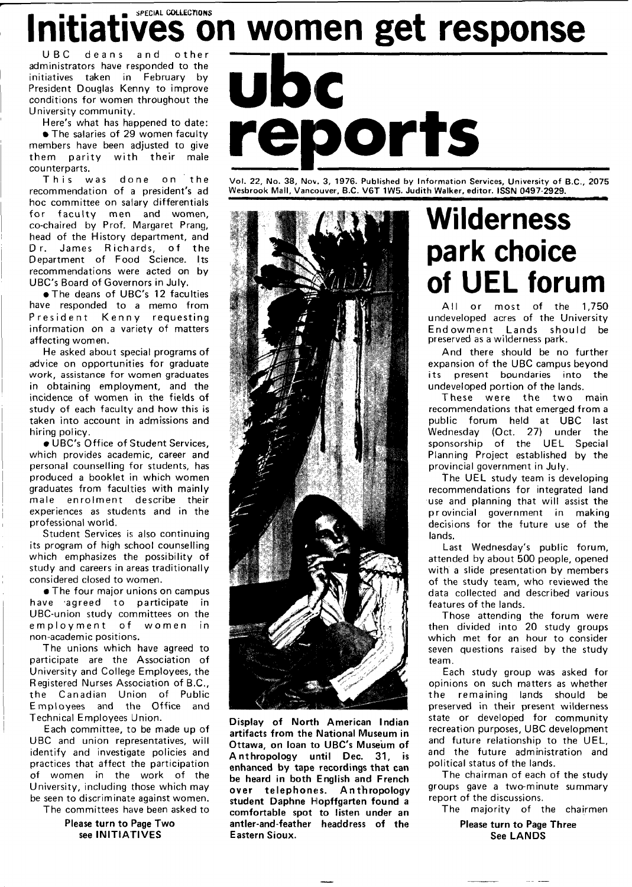## Initiatives on women get response

UBC deans and administrators have responded to the initiatives taken in February by President Douglas Kenny to improve conditions for women throughout the University community.

Here's what has happened to date: • The salaries of 29 women faculty members have been adjusted to give them parity with their male counterparts.

This was done on the recommendation of a president's ad hoc committee on salary differentials for faculty men and women, co-chaired by Prof. Margaret Prang, head of the History department, and Dr. James Richards, of the Department of Food Science. Its recommendations were acted on by UBC's Board of Governors in July.

• The deans of UBC's 12 faculties have responded to a memo from President Kenny requesting information on a variety of matters affecting women.

He asked about special programs of advice on opportunities for graduate work, assistance for women graduates in obtaining employment, and the incidence of women in the fields of study of each faculty and how this is taken into account in admissions and hiring policy.

• UBC's Office of Student Services, which provides academic, career and personal counselling for students, has produced a booklet in which women graduates from faculties with mainly male enrolment describe their experiences as students and in the professional world.

Student Services is also continuing its program of high school counselling which emphasizes the possibility of study and careers in areas traditionally considered closed to women.

• The four major unions on campus have agreed to participate in UBC-union study committees on the employment of women in non-academic positions.

The unions which have agreed to participate are the Association of University and College Employees, the Registered Nurses Association of B.C., the Canadian Union of Public Employees and the Office and Technical Employees Union.

Each committee, to be made up of UBC and union representatives, will identify and investigate policies and practices that affect the participation of women in the work of the University, including those which may be seen to discriminate against women.

The committees have been asked to

**Please turn to Page Two see INITIATIVES** 

# **reports**

Vol. 22, No. 38, Nov. 3, 1976. Published by Information Services, University of B.C., 2075 Wesbrook Mall, Vancouver, B.C. V6T 1W5. Judith Walker, editor. ISSN 0497-2929.



**Display of North American Indian artifacts from the National Museum in Ottawa, on loan to UBC's Museum of Anthropology until Dec. 31 , is enhanced by tape recordings that can be heard in both English and French over telephones. Anthropology**  student Daphne Hopffgarten found a **comfortable spot to listen under an antler-and-feather headdress of the Eastern Sioux.** 

## **Wilderness park choice of UEL forum**

All or most of the 1,750 undeveloped acres of the University Endowment Lands should be preserved as a wilderness park.

And there should be no further expansion of the UBC campus beyond its present boundaries into the undeveloped portion of the lands.

These were the two main recommendations that emerged from a public forum held at UBC last Wednesday (Oct. 27) under the sponsorship of the UEL Special Planning Project established by the provincial government in July.

The UEL study team is developing recommendations for integrated land use and planning that will assist the provincial government in making decisions for the future use of the lands.

Last Wednesday's public forum, attended by about 500 people, opened with a slide presentation by members of the study team, who reviewed the data collected and described various features of the lands.

Those attending the forum were then divided into 20 study groups which met for an hour to consider seven questions raised by the study team.

Each study group was asked for opinions on such matters as whether the remaining lands should be preserved in their present wilderness state or developed for community recreation purposes, UBC development and future relationship to the UEL, and the future administration and political status of the lands.

The chairman of each of the study groups gave a two-minute summary report of the discussions.

The majority of the chairmen

**Please turn to Page Three See LANDS**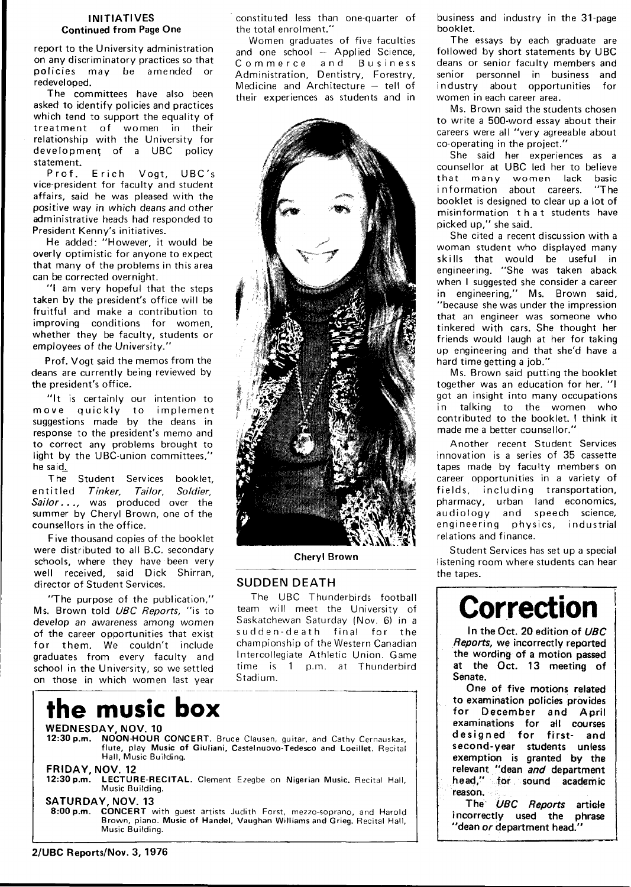#### **INITIATIVES Continued from Page One**

report to the University administration on any discriminatory practices so that policies may be amended or redeveloped.

The committees have also been asked to identify policies and practices which tend to support the equality of treatment of women in their relationship with the University for development of a UBC policy statement.<br>Prof.

Erich Vogt, UBC's vice-president for faculty and student affairs, said he was pleased with the positive way in which deans and other administrative heads had responded to President Kenny's initiatives.

He added: "However, it would be overly optimistic for anyone to expect that many of the problems in this area can be corrected overnight.

"I am very hopeful that the steps taken by the president's office will be fruitful and make a contribution to improving conditions for women, whether they be faculty, students or employees of the University."

Prof. Vogt said the memos from the deans are currently being reviewed by the president's office.

"It is certainly our intention to move quickly to implement suggestions made by the deans in response to the president's memo and to correct any problems brought to light by the UBC-union committees," he said^

The Student Services booklet, entitled Tinker, Tailor, Soldier, Sailor..., was produced over the summer by Cheryl Brown, one of the counsellors in the office.

Five thousand copies of the booklet were distributed to all B.C. secondary schools, where they have been very well received, said Dick Shirran, director of Student Services.

"The purpose of the publication," Ms. Brown told UBC Reports, "is to develop an awareness among women of the career opportunities that exist for them. We couldn't include graduates from every faculty and school in the University, so we settled on those in which women last year

## **the music box**

constituted less than one-quarter of the total enrolment."

Women graduates of five faculties and one school — Applied Science, Commerce and Business Administration, Dentistry, Forestry, Medicine and Architecture — tell of their experiences as students and in



**Cheryl Brown** 

#### **SUDDEN DEATH**

The UBC Thunderbirds football team will meet the University of Saskatchewan Saturday (Nov. 6) in a sudden-death final for the championship of the Western Canadian Intercollegiate Athletic Union. Game time is 1 p.m. at Thunderbird Stadium.



Music Building.

#### **SATURDAY, NOV. 13**

**CONCERT** with guest artists Judith Forst, mezzo-soprano, and Harold Brown, piano. Music of Handel, Vaughan Williams and Grieg. Recital Hall, Music Building.

business and industry in the 31-page booklet.

The essays by each graduate are followed by short statements by UBC deans or senior faculty members and senior personnel in business and industry about opportunities for women in each career area.

Ms. Brown said the students chosen to write a 500-word essay about their careers were all "very agreeable about co-operating in the project."

She said her experiences as a counsellor at UBC led her to believe that many women lack basic<br>information about careers. "The information about careers. booklet is designed to clear up a lot of misinformation tha t students have picked up," she said.

She cited a recent discussion with a woman student who displayed many skills that would be useful in engineering. "She was taken aback when I suggested she consider a career in engineering," Ms. Brown said, "because she was under the impression that an engineer was someone who tinkered with cars. She thought her friends would laugh at her for taking up engineering and that she'd have a hard time getting a job."

Ms. Brown said putting the booklet together was an education for her. "I got an insight into many occupations in talking to the women who contributed to the booklet. I think it made me a better counsellor."

Another recent Student Services innovation is a series of 35 cassette tapes made by faculty members on career opportunities in a variety of fields, including transportation, pharmacy, urban land economics, audiology and speech science, engineering physics, industrial relations and finance.

Student Services has set up a special listening room where students can hear the tapes.

## **Correction**

In the Oct. 20 edition of UBC Reports, we incorrectly reported the wording of a motion passed at the Oct. 13 meeting of Senate.

One of five motions related to examination policies provides for December and April examinations for alt courses designed for first- and second-year students unless exemption is granted by the relevant "dean and department head," for sound academic reason.

The UBC Reports article incorrectly used the phrase "dean or department head."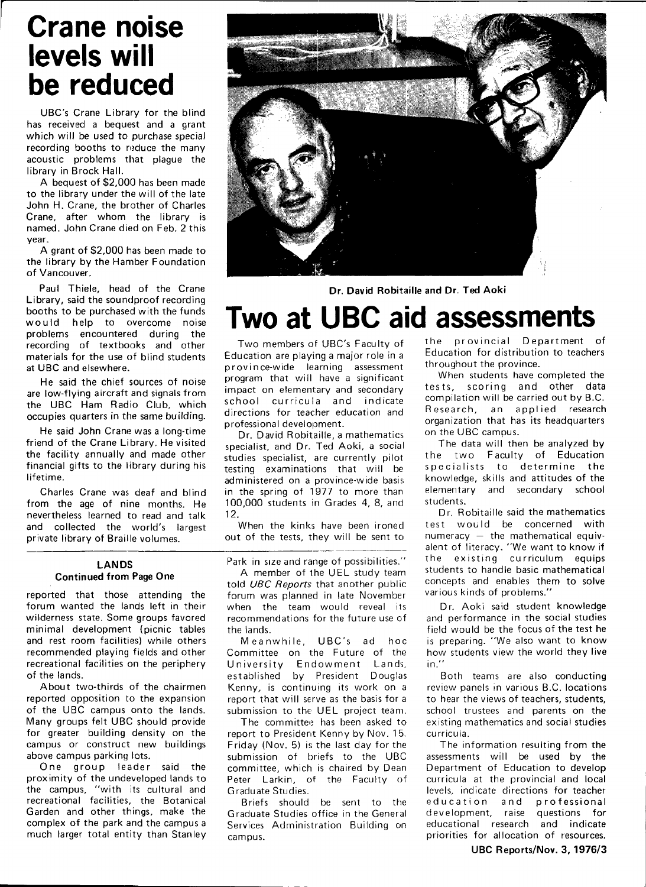### **Crane noise levels will be reduced**

UBC's Crane Library for the blind has received a bequest and a grant which will be used to purchase special recording booths to reduce the many acoustic problems that plague the library in Brock Hall.

A bequest of \$2,000 has been made to the library under the will of the late John H. Crane, the brother of Charles Crane, after whom the library is named. John Crane died on Feb. 2 this year.

A grant of \$2,000 has been made to the library by the Hamber Foundation of Vancouver.

Paul Thiele, head of the Crane Library, said the soundproof recording booths to be purchased with the funds would help to overcome noise problems encountered during the recording of textbooks and other materials for the use of blind students at UBC and elsewhere.

He said the chief sources of noise are low-flying aircraft and signals from the UBC Ham Radio Club, which occupies quarters in the same building.

He said John Crane was a long-time friend of the Crane Library. He visited the facility annually and made other financial gifts to the library during his lifetime.

Charles Crane was deaf and blind from the age of nine months. He nevertheless learned to read and talk and collected the world's largest private library of Braille volumes.

#### **LANDS Continued from Page One**

reported that those attending the forum wanted the lands left in their wilderness state. Some groups favored minimal development (picnic tables and rest room facilities) while others recommended playing fields and other recreational facilities on the periphery of the lands.

About two-thirds of the chairmen reported opposition to the expansion of the UBC campus onto the lands. Many groups felt UBC should provide for greater building density on the campus or construct new buildings above campus parking lots.

One group leader said the proximity of the undeveloped lands to the campus, "with its cultural and recreational facilities, the Botanical Garden and other things, make the complex of the park and the campus a much larger total entity than Stanley



**Dr. David Robitaille and Dr. Ted Aoki** 

## **Two at UBC aid assessments**

Two members of UBC's Faculty of Education are playing a major role in a province-wide learning assessment program that will have a significant impact on elementary and secondary school curricula and indicate directions for teacher education and professional development.

Dr. David Robitaille, a mathematics specialist, and Dr. Ted Aoki, a social studies specialist, are currently pilot testing examinations that will be administered on a province-wide basis in the spring of 1977 to more than 100,000 students in Grades 4, 8, and 12.

When the kinks have been ironed out of the tests, they will be sent to

Park in size and range of possibilities."

A member of the UEL study team told UBC Reports that another public forum was planned in late November when the team would reveal its recommendations for the future use of the lands.

Meanwhile, UBC's ad hoc Committee on the Future of the University Endowment Lands, established by President Douglas Kenny, is continuing its work on a report that will serve as the basis for a submission to the UEL project team.

The committee has been asked to report to President Kenny by Nov. 15. Friday (Nov. 5) is the last day for the submission of briefs to the UBC committee, which is chaired by Dean Peter Larkin, of the Faculty of Graduate Studies.

Briefs should be sent to the Graduate Studies office in the General Services Administration Building on campus.

the provincial Department of Education for distribution to teachers throughout the province.

When students have completed the tests, scoring and other data compilation will be carried out by B.C. Research, an applied research organization that has its headquarters on the UBC campus.

The data will then be analyzed by the two Faculty of Education specialists to determine the knowledge, skills and attitudes of the elementary and secondary school students.

Dr. Robitaille said the mathematics test would be concerned with numeracy — the mathematical equivalent of literacy. "We want to know if the existing curriculum equips students to handle basic mathematical concepts and enables them to solve various kinds of problems."

Dr. Aoki said student knowledge and performance in the social studies field would be the focus of the test he is preparing. "We also want to know how students view the world they live in."

Both teams are also conducting review panels in various B.C. locations to hear the views of teachers, students, school trustees and parents on the existing mathematics and social studies curricula.

The information resulting from the assessments will be used by the Department of Education to develop curricula at the provincial and local levels, indicate directions for teacher education and professional development, raise questions for educational research and indicate priorities for allocation of resources.